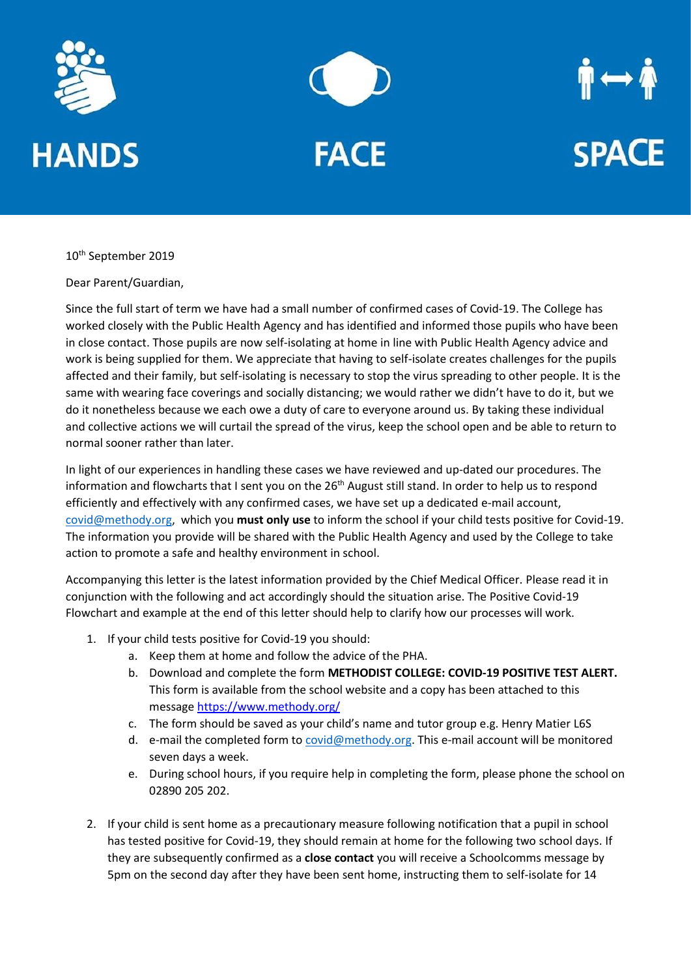





10<sup>th</sup> September 2019

Dear Parent/Guardian,

Since the full start of term we have had a small number of confirmed cases of Covid-19. The College has worked closely with the Public Health Agency and has identified and informed those pupils who have been in close contact. Those pupils are now self-isolating at home in line with Public Health Agency advice and work is being supplied for them. We appreciate that having to self-isolate creates challenges for the pupils affected and their family, but self-isolating is necessary to stop the virus spreading to other people. It is the same with wearing face coverings and socially distancing; we would rather we didn't have to do it, but we do it nonetheless because we each owe a duty of care to everyone around us. By taking these individual and collective actions we will curtail the spread of the virus, keep the school open and be able to return to normal sooner rather than later.

In light of our experiences in handling these cases we have reviewed and up-dated our procedures. The information and flowcharts that I sent you on the 26<sup>th</sup> August still stand. In order to help us to respond efficiently and effectively with any confirmed cases, we have set up a dedicated e-mail account, [covid@methody.org,](mailto:covid@methody.org) which you **must only use** to inform the school if your child tests positive for Covid-19. The information you provide will be shared with the Public Health Agency and used by the College to take action to promote a safe and healthy environment in school.

Accompanying this letter is the latest information provided by the Chief Medical Officer. Please read it in conjunction with the following and act accordingly should the situation arise. The Positive Covid-19 Flowchart and example at the end of this letter should help to clarify how our processes will work.

- 1. If your child tests positive for Covid-19 you should:
	- a. Keep them at home and follow the advice of the PHA.
	- b. Download and complete the form **METHODIST COLLEGE: COVID-19 POSITIVE TEST ALERT.**  This form is available from the school website and a copy has been attached to this message<https://www.methody.org/>
	- c. The form should be saved as your child's name and tutor group e.g. Henry Matier L6S
	- d. e-mail the completed form to [covid@methody.org.](mailto:covid@methody.org) This e-mail account will be monitored seven days a week.
	- e. During school hours, if you require help in completing the form, please phone the school on 02890 205 202.
- 2. If your child is sent home as a precautionary measure following notification that a pupil in school has tested positive for Covid-19, they should remain at home for the following two school days. If they are subsequently confirmed as a **close contact** you will receive a Schoolcomms message by 5pm on the second day after they have been sent home, instructing them to self-isolate for 14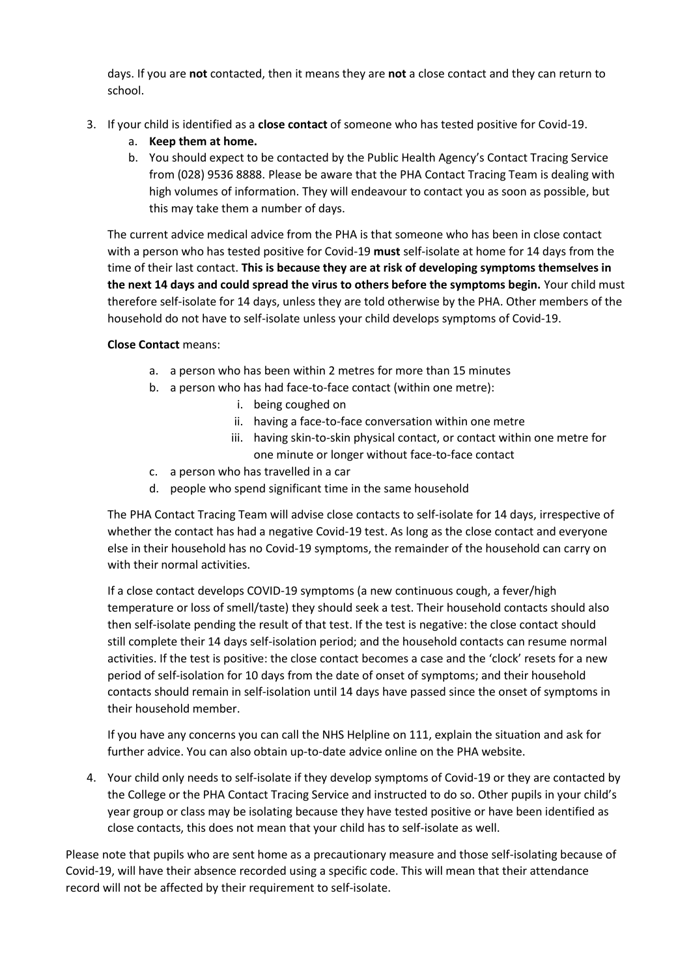days. If you are **not** contacted, then it means they are **not** a close contact and they can return to school.

- 3. If your child is identified as a **close contact** of someone who has tested positive for Covid-19.
	- a. **Keep them at home.**
	- b. You should expect to be contacted by the Public Health Agency's Contact Tracing Service from (028) 9536 8888. Please be aware that the PHA Contact Tracing Team is dealing with high volumes of information. They will endeavour to contact you as soon as possible, but this may take them a number of days.

The current advice medical advice from the PHA is that someone who has been in close contact with a person who has tested positive for Covid-19 **must** self-isolate at home for 14 days from the time of their last contact. **This is because they are at risk of developing symptoms themselves in the next 14 days and could spread the virus to others before the symptoms begin.** Your child must therefore self-isolate for 14 days, unless they are told otherwise by the PHA. Other members of the household do not have to self-isolate unless your child develops symptoms of Covid-19.

## **Close Contact** means:

- a. a person who has been within 2 metres for more than 15 minutes
- b. a person who has had face-to-face contact (within one metre):
	- i. being coughed on
	- ii. having a face-to-face conversation within one metre
	- iii. having skin-to-skin physical contact, or contact within one metre for one minute or longer without face-to-face contact
- c. a person who has travelled in a car
- d. people who spend significant time in the same household

The PHA Contact Tracing Team will advise close contacts to self-isolate for 14 days, irrespective of whether the contact has had a negative Covid-19 test. As long as the close contact and everyone else in their household has no Covid-19 symptoms, the remainder of the household can carry on with their normal activities.

If a close contact develops COVID-19 symptoms (a new continuous cough, a fever/high temperature or loss of smell/taste) they should seek a test. Their household contacts should also then self-isolate pending the result of that test. If the test is negative: the close contact should still complete their 14 days self-isolation period; and the household contacts can resume normal activities. If the test is positive: the close contact becomes a case and the 'clock' resets for a new period of self-isolation for 10 days from the date of onset of symptoms; and their household contacts should remain in self-isolation until 14 days have passed since the onset of symptoms in their household member.

If you have any concerns you can call the NHS Helpline on 111, explain the situation and ask for further advice. You can also obtain up-to-date advice online on the PHA website.

4. Your child only needs to self-isolate if they develop symptoms of Covid-19 or they are contacted by the College or the PHA Contact Tracing Service and instructed to do so. Other pupils in your child's year group or class may be isolating because they have tested positive or have been identified as close contacts, this does not mean that your child has to self-isolate as well.

Please note that pupils who are sent home as a precautionary measure and those self-isolating because of Covid-19, will have their absence recorded using a specific code. This will mean that their attendance record will not be affected by their requirement to self-isolate.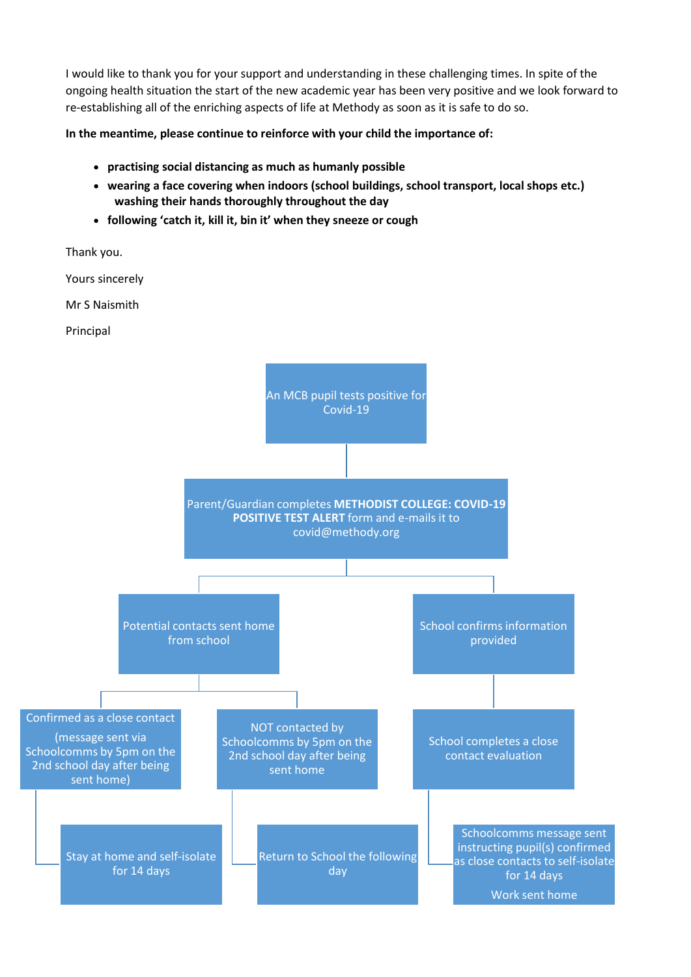I would like to thank you for your support and understanding in these challenging times. In spite of the ongoing health situation the start of the new academic year has been very positive and we look forward to re-establishing all of the enriching aspects of life at Methody as soon as it is safe to do so.

**In the meantime, please continue to reinforce with your child the importance of:**

- **practising social distancing as much as humanly possible**
- **wearing a face covering when indoors (school buildings, school transport, local shops etc.) washing their hands thoroughly throughout the day**
- **following 'catch it, kill it, bin it' when they sneeze or cough**